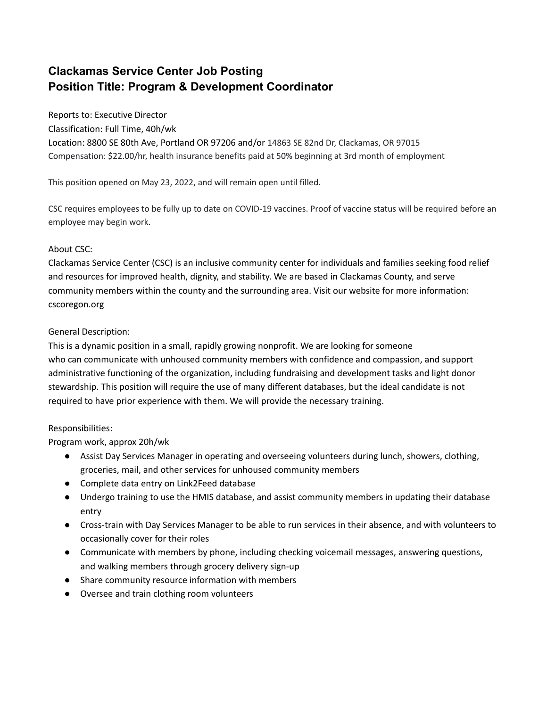# **Clackamas Service Center Job Posting Position Title: Program & Development Coordinator**

Reports to: Executive Director

Classification: Full Time, 40h/wk

Location: 8800 SE 80th Ave, Portland OR 97206 and/or 14863 SE 82nd Dr, Clackamas, OR 97015 Compensation: \$22.00/hr, health insurance benefits paid at 50% beginning at 3rd month of employment

This position opened on May 23, 2022, and will remain open until filled.

CSC requires employees to be fully up to date on COVID-19 vaccines. Proof of vaccine status will be required before an employee may begin work.

## About CSC:

Clackamas Service Center (CSC) is an inclusive community center for individuals and families seeking food relief and resources for improved health, dignity, and stability. We are based in Clackamas County, and serve community members within the county and the surrounding area. Visit our website for more information: cscoregon.org

### General Description:

This is a dynamic position in a small, rapidly growing nonprofit. We are looking for someone who can communicate with unhoused community members with confidence and compassion, and support administrative functioning of the organization, including fundraising and development tasks and light donor stewardship. This position will require the use of many different databases, but the ideal candidate is not required to have prior experience with them. We will provide the necessary training.

#### Responsibilities:

Program work, approx 20h/wk

- Assist Day Services Manager in operating and overseeing volunteers during lunch, showers, clothing, groceries, mail, and other services for unhoused community members
- Complete data entry on Link2Feed database
- Undergo training to use the HMIS database, and assist community members in updating their database entry
- Cross-train with Day Services Manager to be able to run services in their absence, and with volunteers to occasionally cover for their roles
- Communicate with members by phone, including checking voicemail messages, answering questions, and walking members through grocery delivery sign-up
- Share community resource information with members
- Oversee and train clothing room volunteers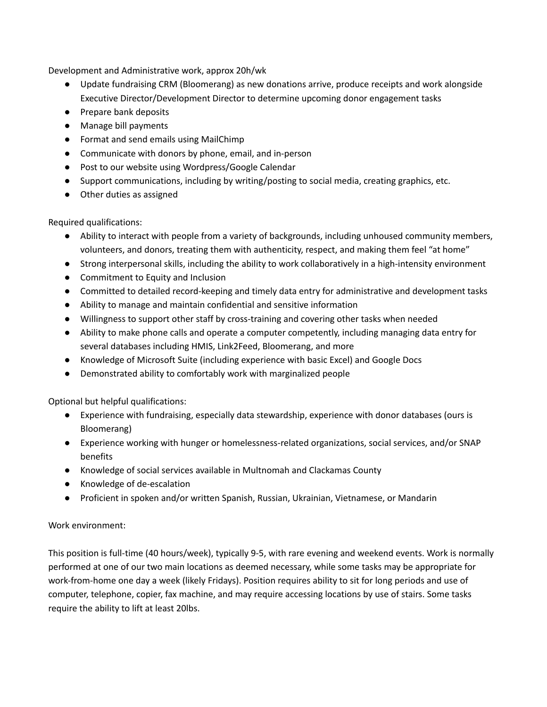Development and Administrative work, approx 20h/wk

- Update fundraising CRM (Bloomerang) as new donations arrive, produce receipts and work alongside Executive Director/Development Director to determine upcoming donor engagement tasks
- Prepare bank deposits
- Manage bill payments
- Format and send emails using MailChimp
- Communicate with donors by phone, email, and in-person
- Post to our website using Wordpress/Google Calendar
- Support communications, including by writing/posting to social media, creating graphics, etc.
- Other duties as assigned

Required qualifications:

- Ability to interact with people from a variety of backgrounds, including unhoused community members, volunteers, and donors, treating them with authenticity, respect, and making them feel "at home"
- Strong interpersonal skills, including the ability to work collaboratively in a high-intensity environment
- Commitment to Equity and Inclusion
- Committed to detailed record-keeping and timely data entry for administrative and development tasks
- Ability to manage and maintain confidential and sensitive information
- Willingness to support other staff by cross-training and covering other tasks when needed
- Ability to make phone calls and operate a computer competently, including managing data entry for several databases including HMIS, Link2Feed, Bloomerang, and more
- Knowledge of Microsoft Suite (including experience with basic Excel) and Google Docs
- Demonstrated ability to comfortably work with marginalized people

Optional but helpful qualifications:

- Experience with fundraising, especially data stewardship, experience with donor databases (ours is Bloomerang)
- Experience working with hunger or homelessness-related organizations, social services, and/or SNAP benefits
- Knowledge of social services available in Multnomah and Clackamas County
- Knowledge of de-escalation
- Proficient in spoken and/or written Spanish, Russian, Ukrainian, Vietnamese, or Mandarin

#### Work environment:

This position is full-time (40 hours/week), typically 9-5, with rare evening and weekend events. Work is normally performed at one of our two main locations as deemed necessary, while some tasks may be appropriate for work-from-home one day a week (likely Fridays). Position requires ability to sit for long periods and use of computer, telephone, copier, fax machine, and may require accessing locations by use of stairs. Some tasks require the ability to lift at least 20lbs.